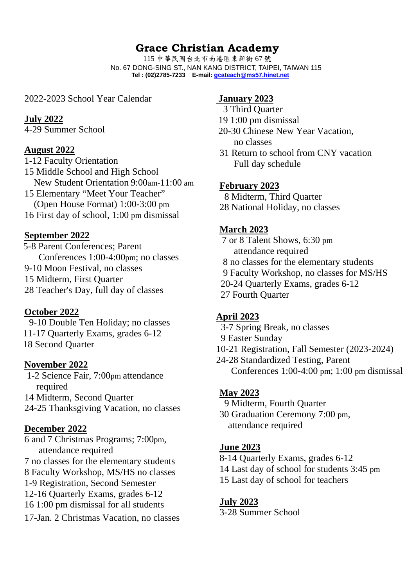# **Grace Christian Academy**

115 中華民國台北市南港區東新街 67 號 No. 67 DONG-SING ST., NAN KANG DISTRICT, TAIPEI, TAIWAN 115 **Tel : (02)2785-7233 E-mail: gcateach@ms57.hinet.net** 

2022-2023 School Year Calendar

#### **July 2022**

4-29 Summer School

## **August 2022**

1-12 Faculty Orientation 15 Middle School and High School New Student Orientation 9:00am-11:00 am 15 Elementary "Meet Your Teacher" (Open House Format) 1:00-3:00 pm 16 First day of school, 1:00 pm dismissal

## **September 2022**

 5-8 Parent Conferences; Parent Conferences 1:00-4:00pm; no classes 9-10 Moon Festival, no classes 15 Midterm, First Quarter 28 Teacher's Day, full day of classes

## **October 2022**

 9-10 Double Ten Holiday; no classes 11-17 Quarterly Exams, grades 6-12 18 Second Quarter

## **November 2022**

 1-2 Science Fair, 7:00pm attendance required 14 Midterm, Second Quarter 24-25 Thanksgiving Vacation, no classes

## **December 2022**

6 and 7 Christmas Programs; 7:00pm, attendance required 7 no classes for the elementary students 8 Faculty Workshop, MS/HS no classes 1-9 Registration, Second Semester 12-16 Quarterly Exams, grades 6-12 16 1:00 pm dismissal for all students 17-Jan. 2 Christmas Vacation, no classes

## **January 2023**

- 3 Third Quarter
- 19 1:00 pm dismissal
- 20-30 Chinese New Year Vacation, no classes
- 31 Return to school from CNY vacation Full day schedule

## **February 2023**

8 Midterm, Third Quarter

28 National Holiday, no classes

## **March 2023**

 7 or 8 Talent Shows, 6:30 pm attendance required 8 no classes for the elementary students 9 Faculty Workshop, no classes for MS/HS 20-24 Quarterly Exams, grades 6-12 27 Fourth Quarter

## **April 2023**

- 3-7 Spring Break, no classes
- 9 Easter Sunday
- 10-21 Registration, Fall Semester (2023-2024)
- 24-28 Standardized Testing, Parent Conferences 1:00-4:00 pm; 1:00 pm dismissal

## **May 2023**

9 Midterm, Fourth Quarter

30 Graduation Ceremony 7:00 pm, attendance required

## **June 2023**

- 8-14 Quarterly Exams, grades 6-12
- 14 Last day of school for students 3:45 pm
- 15 Last day of school for teachers

## **July 2023**

3-28 Summer School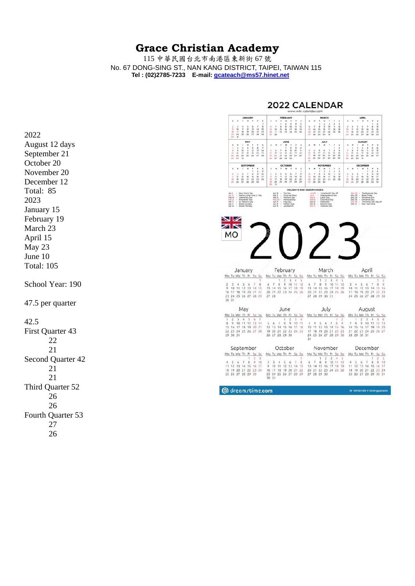## **Grace Christian Academy**

115 中華民國台北市南港區東新街 67 號 No. 67 DONG-SING ST., NAN KANG DISTRICT, TAIPEI, TAIWAN 115 **Tel : (02)2785-7233 E-mail: gcateach@ms57.hinet.net** 

2022 August 12 days September 21 October 20 November 20 December 12 Total: 85 2023 January 15 February 19 March 23 April 15 May 23 June 10 Total: 105

School Year: 190

47.5 per quarter

42.5

First Quarter 43 22 21 Second Quarter 42 21 21 Third Quarter 52 26 26 Fourth Quarter 53 27 26

## 2022 CALENDAR

| ۷<br>w<br>٠<br>w<br>s<br>٠<br>š<br>×<br>ż<br>2<br>4<br>s<br>$\overline{2}$<br>s<br>$\overline{z}$<br>3<br>3<br>4<br>ı<br>1<br>1<br>$\overline{a}$<br>s<br>۵<br>a<br>30<br>$\mathbf{u}$<br>12<br>$\mathbf{Q}$<br>$^{10}$<br>$\mathbf{u}$<br>12<br>$\mathbf{B}$<br>$\mathfrak{D}$<br>x<br>s<br>×<br>3<br>×<br>٠<br>٠<br>٠<br>a.<br>t<br>×<br>k<br>×<br>٠<br>a<br>$\overline{9}$<br><b>SO</b><br>n<br>12<br>13<br>14<br>15<br>$\overline{u}$<br>11<br>14<br>15<br>16<br>17<br>w<br>19<br>14<br>15<br>16<br>17<br>10<br>19<br>10<br>$\mathbf{u}$<br>12<br>u<br>14<br>15<br>16<br>16<br>19<br>20 <sub>o</sub><br>17<br>18<br>21<br>22<br>20<br>21<br>23<br>24<br>25<br>20<br>21<br>22<br>23<br>24<br>25<br>17<br>18<br>YD.<br>20<br>21<br>$^{22}$<br>23<br>22<br>26<br>26<br>23<br>26<br>27<br>$\overline{22}$<br>24<br>25<br>28<br>$-29$<br>28<br>$22^{1}$<br>28<br>29<br>30<br>31<br>24<br>25<br>26<br>27<br>20<br>29<br>30<br>30<br>31<br>MAY<br>JUNE<br><b>JULY</b><br><b>AUGUST</b><br>s,<br>w<br>1<br>×<br>×<br>w<br>Ŧ<br>٠<br>s<br>w<br>t<br>ś<br>ś<br>٠<br>w<br>T<br>٠<br>s<br>×<br>T.<br>x<br>۲<br>×<br>н<br>۲<br>٠<br>×<br>٠<br>$\overline{z}$<br>x<br>$\ddot{a}$<br>s<br>ß.<br>y<br>ä<br>3<br>ä<br>ż<br>$\overline{2}$<br>x<br>ä<br>s<br>é,<br>١<br>1<br>h<br>10<br>12<br>$\theta$<br>9<br>10<br>饺<br>13<br>34<br>5<br>6<br>٠<br>8<br>9<br>$^{\text{II}}$<br>3<br>ä<br>s<br>6<br>x<br>s<br>9<br>7<br>8<br>٠<br>10<br>$^{\mathrm{II}}$<br>13<br>10<br>$\mathbf{u}$<br><b>SC</b><br>si.<br><b>18</b><br>19<br>20<br>39<br>ts.<br>12<br><b>11</b><br>14<br>15.<br>16<br>$^{12}$<br>ta<br>30<br>Y3<br>÷<br>13.<br>14<br>56<br>16<br>15<br>15<br>SE.<br>16<br>14<br>17<br>22<br>23<br>$^{24}$<br>25<br>26<br>27<br>19<br>20<br>źì<br>$\overline{22}$<br>23<br>24<br>25<br>18<br>19<br>20<br>21<br>22<br>23<br>ź1<br>$\overline{22}$<br>23<br>24<br>25<br>26<br>27<br>28<br>26<br>27<br>29<br>30<br>24<br>25<br>26<br>27<br>28<br>29<br>30<br>28<br>29<br>30<br>31<br>28<br>29<br>30<br>31<br>31<br><b>SEPTEMBER</b><br>OCTOBER<br><b>NOVEMBER</b><br>DECEMBER<br>Ÿ<br>s.<br>×<br>w<br>s<br>š<br>w<br>Ÿ<br>×<br>٠<br>s<br>٠<br>×<br>×<br>٠<br>×<br>٠<br>٠<br>×<br>٠<br>x<br>s<br>$\overline{\phantom{a}}$<br>٠<br><b>M</b><br>1<br>н<br>x<br>ż<br>s,<br>ż<br>x.<br>ï<br>ż<br>ï<br>ı<br>ä<br>s<br>ï<br>a<br>9<br>10<br>3<br>2<br>8<br>3<br>ń.<br>$\overline{9}$<br>10<br>$\mathbf{H}$<br>12<br><sup>D</sup><br>10<br>۸<br>¢<br>7<br>ż<br>4<br>s<br>¢<br>٠<br>۸<br>5<br>G<br>۰<br>t<br>10<br>n<br>$\mathbb{H}$<br>12<br>13<br>14<br>15<br>16.<br>17<br>٠<br>12<br>13<br>14<br>15<br>u<br>14<br>15<br>16<br>17<br>18<br>19<br>Ħ<br>12<br>13<br>14<br>15<br>16<br>17<br>$\mathbf{v}$<br>$\overline{21}$<br>18<br>19<br>20<br>21<br>$_{22}$<br>$_{21}$<br>u<br><b>is</b><br>20<br>22<br>$_{23}$<br>u<br>30<br>25<br>18<br>21<br>$^{24}$<br>24<br>22<br>23<br>24<br>26<br>19<br>20<br>22<br>23<br>21<br>24<br>25<br>26<br>27<br>28<br>29<br>29<br>$\overline{17}$<br>$_{31}$<br>29<br>26<br>27<br>28<br>30<br>28<br>29<br>30<br>25<br>26<br>27<br>28<br>29<br>30<br>30<br>31<br>HOLIDAYS AND OBSERVANCES:<br>Jan 1<br>New Year's Day<br>Apr 18<br>Tax Day<br>Jun 20<br>'Juneteenth' day off<br>Nov 24 -<br>Thanksgiving Day<br>٠<br>Jan 17<br>Martin Luther King Jr. Day<br>Cinco de Mayo<br><b>Jul 4</b><br>Independence Day<br>Nov 25 -<br><b>Black Friday</b><br>×<br><b>Hay 5</b><br>Feb 14<br>×<br>Valentine's Day<br>Hay &<br><b>Hother's Day</b><br><b>Sep S</b><br>Labor Day<br>Dec 24<br>$\alpha$<br>Christmas Eve<br>٠<br>×<br>Feb 21<br>Presidents' Day<br>May 30 -<br><b>Memorial Day</b><br>Oct 10<br>Columbus Day<br>Dec 25 -<br>Christmas Day<br>×.<br>×<br>Mar 17<br>St. Patrick's Day<br>Jun 54<br>Flag Day<br>$Cct$ 31<br>'Christmas Day' day off<br>Halloween<br>One 26 -<br>$\sim$<br>- 2<br>٠.<br>Apr 17<br>Easter Sunday<br>Jun 19<br>Father's Day<br>n.<br><b>Election Day</b><br>Dec 31.<br>- New Year's Eve<br>14<br>Nov 8<br>×<br>Easter Monday<br>Apr 18<br>OWN.<br>Jun 19<br>147<br><b>Juneteenth</b><br>Nov 11<br>-<br>Veterans Day<br>$\overline{\mathscr{L}}$<br>N<br>МO |  |  |         | <b>JANUARY</b> |  |  |  |  | FEBRUARY |          |    |  |  | <b>MARCH</b> |  |  |  | <b>APRIL</b> |       |    |
|---------------------------------------------------------------------------------------------------------------------------------------------------------------------------------------------------------------------------------------------------------------------------------------------------------------------------------------------------------------------------------------------------------------------------------------------------------------------------------------------------------------------------------------------------------------------------------------------------------------------------------------------------------------------------------------------------------------------------------------------------------------------------------------------------------------------------------------------------------------------------------------------------------------------------------------------------------------------------------------------------------------------------------------------------------------------------------------------------------------------------------------------------------------------------------------------------------------------------------------------------------------------------------------------------------------------------------------------------------------------------------------------------------------------------------------------------------------------------------------------------------------------------------------------------------------------------------------------------------------------------------------------------------------------------------------------------------------------------------------------------------------------------------------------------------------------------------------------------------------------------------------------------------------------------------------------------------------------------------------------------------------------------------------------------------------------------------------------------------------------------------------------------------------------------------------------------------------------------------------------------------------------------------------------------------------------------------------------------------------------------------------------------------------------------------------------------------------------------------------------------------------------------------------------------------------------------------------------------------------------------------------------------------------------------------------------------------------------------------------------------------------------------------------------------------------------------------------------------------------------------------------------------------------------------------------------------------------------------------------------------------------------------------------------------------------------------------------------------------------------------------------------------------------------------------------------------------------------------------------------------------------------------------------------------------------------------------------------------------------------------------------------------------------------------------------------------------------------------------------------------------------------------------------------------------------------------------------------------------------------------------------------------------------------------------------------------------------------------------------------------------------------------------------------------------------------------------------------------------------------------------------------------------------------------------------------------------------------------------------------------------------------------------------------------------------------------------------------------|--|--|---------|----------------|--|--|--|--|----------|----------|----|--|--|--------------|--|--|--|--------------|-------|----|
|                                                                                                                                                                                                                                                                                                                                                                                                                                                                                                                                                                                                                                                                                                                                                                                                                                                                                                                                                                                                                                                                                                                                                                                                                                                                                                                                                                                                                                                                                                                                                                                                                                                                                                                                                                                                                                                                                                                                                                                                                                                                                                                                                                                                                                                                                                                                                                                                                                                                                                                                                                                                                                                                                                                                                                                                                                                                                                                                                                                                                                                                                                                                                                                                                                                                                                                                                                                                                                                                                                                                                                                                                                                                                                                                                                                                                                                                                                                                                                                                                                                                                                   |  |  |         |                |  |  |  |  |          |          |    |  |  |              |  |  |  |              |       |    |
|                                                                                                                                                                                                                                                                                                                                                                                                                                                                                                                                                                                                                                                                                                                                                                                                                                                                                                                                                                                                                                                                                                                                                                                                                                                                                                                                                                                                                                                                                                                                                                                                                                                                                                                                                                                                                                                                                                                                                                                                                                                                                                                                                                                                                                                                                                                                                                                                                                                                                                                                                                                                                                                                                                                                                                                                                                                                                                                                                                                                                                                                                                                                                                                                                                                                                                                                                                                                                                                                                                                                                                                                                                                                                                                                                                                                                                                                                                                                                                                                                                                                                                   |  |  |         |                |  |  |  |  |          |          |    |  |  |              |  |  |  |              |       |    |
|                                                                                                                                                                                                                                                                                                                                                                                                                                                                                                                                                                                                                                                                                                                                                                                                                                                                                                                                                                                                                                                                                                                                                                                                                                                                                                                                                                                                                                                                                                                                                                                                                                                                                                                                                                                                                                                                                                                                                                                                                                                                                                                                                                                                                                                                                                                                                                                                                                                                                                                                                                                                                                                                                                                                                                                                                                                                                                                                                                                                                                                                                                                                                                                                                                                                                                                                                                                                                                                                                                                                                                                                                                                                                                                                                                                                                                                                                                                                                                                                                                                                                                   |  |  |         |                |  |  |  |  |          |          |    |  |  |              |  |  |  |              |       |    |
|                                                                                                                                                                                                                                                                                                                                                                                                                                                                                                                                                                                                                                                                                                                                                                                                                                                                                                                                                                                                                                                                                                                                                                                                                                                                                                                                                                                                                                                                                                                                                                                                                                                                                                                                                                                                                                                                                                                                                                                                                                                                                                                                                                                                                                                                                                                                                                                                                                                                                                                                                                                                                                                                                                                                                                                                                                                                                                                                                                                                                                                                                                                                                                                                                                                                                                                                                                                                                                                                                                                                                                                                                                                                                                                                                                                                                                                                                                                                                                                                                                                                                                   |  |  |         |                |  |  |  |  |          |          |    |  |  |              |  |  |  |              |       |    |
|                                                                                                                                                                                                                                                                                                                                                                                                                                                                                                                                                                                                                                                                                                                                                                                                                                                                                                                                                                                                                                                                                                                                                                                                                                                                                                                                                                                                                                                                                                                                                                                                                                                                                                                                                                                                                                                                                                                                                                                                                                                                                                                                                                                                                                                                                                                                                                                                                                                                                                                                                                                                                                                                                                                                                                                                                                                                                                                                                                                                                                                                                                                                                                                                                                                                                                                                                                                                                                                                                                                                                                                                                                                                                                                                                                                                                                                                                                                                                                                                                                                                                                   |  |  |         |                |  |  |  |  |          |          |    |  |  |              |  |  |  |              |       |    |
|                                                                                                                                                                                                                                                                                                                                                                                                                                                                                                                                                                                                                                                                                                                                                                                                                                                                                                                                                                                                                                                                                                                                                                                                                                                                                                                                                                                                                                                                                                                                                                                                                                                                                                                                                                                                                                                                                                                                                                                                                                                                                                                                                                                                                                                                                                                                                                                                                                                                                                                                                                                                                                                                                                                                                                                                                                                                                                                                                                                                                                                                                                                                                                                                                                                                                                                                                                                                                                                                                                                                                                                                                                                                                                                                                                                                                                                                                                                                                                                                                                                                                                   |  |  |         |                |  |  |  |  |          |          |    |  |  |              |  |  |  |              |       |    |
|                                                                                                                                                                                                                                                                                                                                                                                                                                                                                                                                                                                                                                                                                                                                                                                                                                                                                                                                                                                                                                                                                                                                                                                                                                                                                                                                                                                                                                                                                                                                                                                                                                                                                                                                                                                                                                                                                                                                                                                                                                                                                                                                                                                                                                                                                                                                                                                                                                                                                                                                                                                                                                                                                                                                                                                                                                                                                                                                                                                                                                                                                                                                                                                                                                                                                                                                                                                                                                                                                                                                                                                                                                                                                                                                                                                                                                                                                                                                                                                                                                                                                                   |  |  |         |                |  |  |  |  |          |          |    |  |  |              |  |  |  |              |       |    |
|                                                                                                                                                                                                                                                                                                                                                                                                                                                                                                                                                                                                                                                                                                                                                                                                                                                                                                                                                                                                                                                                                                                                                                                                                                                                                                                                                                                                                                                                                                                                                                                                                                                                                                                                                                                                                                                                                                                                                                                                                                                                                                                                                                                                                                                                                                                                                                                                                                                                                                                                                                                                                                                                                                                                                                                                                                                                                                                                                                                                                                                                                                                                                                                                                                                                                                                                                                                                                                                                                                                                                                                                                                                                                                                                                                                                                                                                                                                                                                                                                                                                                                   |  |  |         |                |  |  |  |  |          |          |    |  |  |              |  |  |  |              |       |    |
|                                                                                                                                                                                                                                                                                                                                                                                                                                                                                                                                                                                                                                                                                                                                                                                                                                                                                                                                                                                                                                                                                                                                                                                                                                                                                                                                                                                                                                                                                                                                                                                                                                                                                                                                                                                                                                                                                                                                                                                                                                                                                                                                                                                                                                                                                                                                                                                                                                                                                                                                                                                                                                                                                                                                                                                                                                                                                                                                                                                                                                                                                                                                                                                                                                                                                                                                                                                                                                                                                                                                                                                                                                                                                                                                                                                                                                                                                                                                                                                                                                                                                                   |  |  |         |                |  |  |  |  |          |          |    |  |  |              |  |  |  |              |       |    |
|                                                                                                                                                                                                                                                                                                                                                                                                                                                                                                                                                                                                                                                                                                                                                                                                                                                                                                                                                                                                                                                                                                                                                                                                                                                                                                                                                                                                                                                                                                                                                                                                                                                                                                                                                                                                                                                                                                                                                                                                                                                                                                                                                                                                                                                                                                                                                                                                                                                                                                                                                                                                                                                                                                                                                                                                                                                                                                                                                                                                                                                                                                                                                                                                                                                                                                                                                                                                                                                                                                                                                                                                                                                                                                                                                                                                                                                                                                                                                                                                                                                                                                   |  |  |         |                |  |  |  |  |          |          |    |  |  |              |  |  |  |              |       |    |
|                                                                                                                                                                                                                                                                                                                                                                                                                                                                                                                                                                                                                                                                                                                                                                                                                                                                                                                                                                                                                                                                                                                                                                                                                                                                                                                                                                                                                                                                                                                                                                                                                                                                                                                                                                                                                                                                                                                                                                                                                                                                                                                                                                                                                                                                                                                                                                                                                                                                                                                                                                                                                                                                                                                                                                                                                                                                                                                                                                                                                                                                                                                                                                                                                                                                                                                                                                                                                                                                                                                                                                                                                                                                                                                                                                                                                                                                                                                                                                                                                                                                                                   |  |  | January |                |  |  |  |  |          | February |    |  |  | March        |  |  |  |              | April |    |
| Mo Tu We Th Fr<br>Su<br>Su<br>Mo Tu We Th<br>Fr<br>Su<br>Mo Tu We Th Fr<br>Su<br>Sa                                                                                                                                                                                                                                                                                                                                                                                                                                                                                                                                                                                                                                                                                                                                                                                                                                                                                                                                                                                                                                                                                                                                                                                                                                                                                                                                                                                                                                                                                                                                                                                                                                                                                                                                                                                                                                                                                                                                                                                                                                                                                                                                                                                                                                                                                                                                                                                                                                                                                                                                                                                                                                                                                                                                                                                                                                                                                                                                                                                                                                                                                                                                                                                                                                                                                                                                                                                                                                                                                                                                                                                                                                                                                                                                                                                                                                                                                                                                                                                                               |  |  |         |                |  |  |  |  |          |          | Sa |  |  |              |  |  |  |              |       | Sa |
| $\overline{c}$<br>3<br>3<br>5<br>1<br>1<br>4<br>5<br>1<br>2<br>4<br>1<br>8<br>8<br>9<br>8<br>з<br>5<br>7<br>7<br>11<br>12<br>9<br>12<br>7<br>7<br>3<br>4<br>S<br>4<br>6<br>6<br>6<br>6                                                                                                                                                                                                                                                                                                                                                                                                                                                                                                                                                                                                                                                                                                                                                                                                                                                                                                                                                                                                                                                                                                                                                                                                                                                                                                                                                                                                                                                                                                                                                                                                                                                                                                                                                                                                                                                                                                                                                                                                                                                                                                                                                                                                                                                                                                                                                                                                                                                                                                                                                                                                                                                                                                                                                                                                                                                                                                                                                                                                                                                                                                                                                                                                                                                                                                                                                                                                                                                                                                                                                                                                                                                                                                                                                                                                                                                                                                            |  |  |         |                |  |  |  |  |          |          |    |  |  |              |  |  |  |              |       |    |
| 8<br>10<br>10<br>11<br>10<br>11<br>12<br>13<br>14<br>15<br>13<br>15<br>17<br>18<br>19<br>13<br>17<br>18<br>19<br>15<br>14<br>16<br>14<br>15<br>16<br>10<br>11<br>12<br>13<br>14                                                                                                                                                                                                                                                                                                                                                                                                                                                                                                                                                                                                                                                                                                                                                                                                                                                                                                                                                                                                                                                                                                                                                                                                                                                                                                                                                                                                                                                                                                                                                                                                                                                                                                                                                                                                                                                                                                                                                                                                                                                                                                                                                                                                                                                                                                                                                                                                                                                                                                                                                                                                                                                                                                                                                                                                                                                                                                                                                                                                                                                                                                                                                                                                                                                                                                                                                                                                                                                                                                                                                                                                                                                                                                                                                                                                                                                                                                                   |  |  |         |                |  |  |  |  |          |          |    |  |  |              |  |  |  |              |       |    |
| 17<br>18<br>19<br>20<br>21<br>22<br>20<br>21<br>22 23 24<br>25<br>26<br>20<br>21<br>22<br>23<br>24<br>$25 -$<br>26<br>17<br>18<br>19<br>20<br>21<br>22                                                                                                                                                                                                                                                                                                                                                                                                                                                                                                                                                                                                                                                                                                                                                                                                                                                                                                                                                                                                                                                                                                                                                                                                                                                                                                                                                                                                                                                                                                                                                                                                                                                                                                                                                                                                                                                                                                                                                                                                                                                                                                                                                                                                                                                                                                                                                                                                                                                                                                                                                                                                                                                                                                                                                                                                                                                                                                                                                                                                                                                                                                                                                                                                                                                                                                                                                                                                                                                                                                                                                                                                                                                                                                                                                                                                                                                                                                                                            |  |  |         |                |  |  |  |  |          |          |    |  |  |              |  |  |  |              |       |    |
| Mo Tu We Th Fr Sa<br>16<br>23<br>16<br>30 31<br>30<br>23<br>24 25 26 27 28<br>29<br>27 28<br>27<br>28 29<br>24<br>25<br>27<br>28<br>-29<br>26<br>30 31                                                                                                                                                                                                                                                                                                                                                                                                                                                                                                                                                                                                                                                                                                                                                                                                                                                                                                                                                                                                                                                                                                                                                                                                                                                                                                                                                                                                                                                                                                                                                                                                                                                                                                                                                                                                                                                                                                                                                                                                                                                                                                                                                                                                                                                                                                                                                                                                                                                                                                                                                                                                                                                                                                                                                                                                                                                                                                                                                                                                                                                                                                                                                                                                                                                                                                                                                                                                                                                                                                                                                                                                                                                                                                                                                                                                                                                                                                                                            |  |  |         |                |  |  |  |  |          |          |    |  |  |              |  |  |  |              |       |    |
| May<br>July<br>June<br>August                                                                                                                                                                                                                                                                                                                                                                                                                                                                                                                                                                                                                                                                                                                                                                                                                                                                                                                                                                                                                                                                                                                                                                                                                                                                                                                                                                                                                                                                                                                                                                                                                                                                                                                                                                                                                                                                                                                                                                                                                                                                                                                                                                                                                                                                                                                                                                                                                                                                                                                                                                                                                                                                                                                                                                                                                                                                                                                                                                                                                                                                                                                                                                                                                                                                                                                                                                                                                                                                                                                                                                                                                                                                                                                                                                                                                                                                                                                                                                                                                                                                     |  |  |         |                |  |  |  |  |          |          |    |  |  |              |  |  |  |              |       |    |

|                      | 9               | 10                |             | 12       | 13  | $-14$ | 500   | 6      |                   | R                    | 9     | 50-   |     | з     |                |                      | 6                    |                | 8        | -9   | 7  | 8  | a                    | 10   |    |          | 13                   |
|----------------------|-----------------|-------------------|-------------|----------|-----|-------|-------|--------|-------------------|----------------------|-------|-------|-----|-------|----------------|----------------------|----------------------|----------------|----------|------|----|----|----------------------|------|----|----------|----------------------|
|                      | 16 <sup>°</sup> | -17               | 18          | 19       | 20  | 21    |       | 12, 13 | 14                | 15                   | 16    |       | -18 | 10    |                | 12                   | $-13-$               | $-14$          | $-15$    | 16   | 14 | 15 | 16                   | 17   | 18 | 19       | -20                  |
|                      | 22 23 24        |                   | 25 26 27 28 |          |     |       |       | 19 20  | 21                |                      | 22 23 | 24.25 |     | 17    | 18             |                      |                      | 19 20 21 22 23 |          |      |    |    | 21 22 23 24 25 26 27 |      |    |          |                      |
|                      | 29 30 31        |                   |             |          |     |       |       |        | 26 27 28 29 30    |                      |       |       |     |       |                | 24 25 26 27 28 29 30 |                      |                |          |      |    |    | 28 29 30 31          |      |    |          |                      |
|                      |                 |                   |             |          |     |       |       |        |                   |                      |       |       |     | 31    |                |                      |                      |                |          |      |    |    |                      |      |    |          |                      |
|                      |                 | September         |             |          |     |       |       |        | October           |                      |       |       |     |       | November       |                      |                      |                |          |      |    |    | December             |      |    |          |                      |
| Mo Tu We Th Fr Sa Su |                 |                   |             |          |     |       |       |        |                   | Mo Tu We Th Fr Sa Su |       |       |     |       |                |                      | Mo Tu We Th Fr 5a Su |                |          |      |    |    |                      |      |    |          | Mo Tu We Th Fr Sa Su |
|                      |                 |                   |             |          |     |       |       |        |                   |                      |       |       |     |       |                |                      |                      |                |          |      |    |    |                      |      |    |          |                      |
|                      |                 |                   |             |          | 1/2 | - 31  |       |        |                   |                      |       |       |     |       |                |                      | 2                    | a              | $\alpha$ | $-5$ |    |    |                      |      |    |          |                      |
| $\Delta$             | - 5             | 6                 |             | $\Omega$ | 9   | 10    |       | 23     | 4                 | 5                    | 6     |       |     | 6     | $\overline{7}$ | R                    | $\circ$              | 10             | 11       | 12   | 4  | S  | 6                    | $-7$ | R  | a        | 10                   |
|                      |                 | 12 13 14          |             | 15 16    |     |       | 9     | 10     |                   | 12                   | 13    | 14    | 15  | 13    | 14             | $15 -$               | 16                   | 17             | 18       | 19   |    |    | 12, 13               | 14   | 15 | 16 17    |                      |
| 18.                  |                 | 19 20 21          |             | 22 23 24 |     |       | 16    | 17     | 18                | 19                   | 20    | 21    | 22  | 20 21 |                | 22 23                |                      | 24             | 25 26    |      | 18 |    | 19 20                | 21   |    | 22 23 24 |                      |
|                      |                 | 25 26 27 28 29 30 |             |          |     |       | 23    |        | 24 25 26 27 28 29 |                      |       |       |     |       |                | 27 28 29 30          |                      |                |          |      |    |    | 25 26 27 28 29 30 31 |      |    |          |                      |
|                      |                 |                   |             |          |     |       | 30 31 |        |                   |                      |       |       |     |       |                |                      |                      |                |          |      |    |    |                      |      |    |          |                      |

**6** dreamstime.com

 $\begin{array}{ccccccccc} 1 & 2 & 3 & 4 & 5 & 6 & 7 & 8 & 9 & 10 & 11 \\ 8 & 9 & 10 & 11 & 12 & 13 & 14 & 5 & 6 & 7 & 8 & 9 & 10 & 11 \\ 15 & 16 & 17 & 18 & 19 & 20 & 21 & 12 & 13 & 14 & 15 & 16 & 17 & 18 \\ 22 & 23 & 24 & 25 & 26 & 27 & 28 & 19 & 20 & 21 & 22 & 23 & 24 & 25 \\ 23 & 24 & 25 & 26$ 

ID 163725128 © Dmitryguzhanir